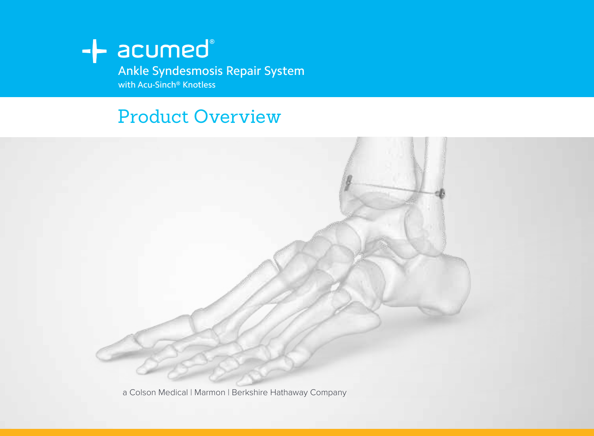# -**L** acumed

Ankle Syndesmosis Repair System

with Acu-Sinch® Knotless

# Product Overview



a Colson Medical | Marmon | Berkshire Hathaway Company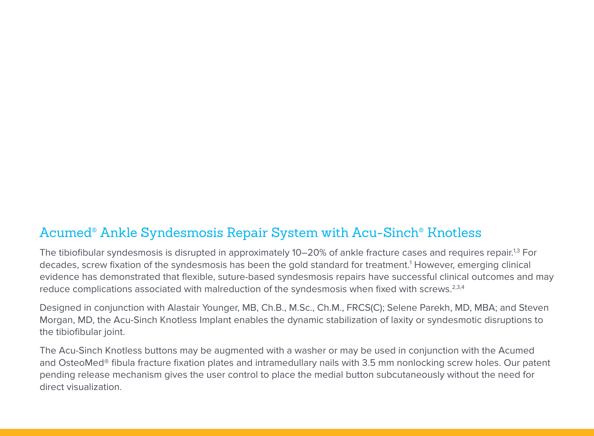# Acumed® Ankle Syndesmosis Repair System with Acu-Sinch® Knotless

The tibiofibular syndesmosis is disrupted in approximately 10–20% of ankle fracture cases and requires repair.<sup>13</sup> For decades, screw fixation of the syndesmosis has been the gold standard for treatment.<sup>1</sup> However, emerging clinical evidence has demonstrated that flexible, suture-based syndesmosis repairs have successful clinical outcomes and may reduce complications associated with malreduction of the syndesmosis when fixed with screws.<sup>2,3,4</sup>

Designed in conjunction with Alastair Younger, MB, Ch.B., M.Sc., Ch.M., FRCS(C); Selene Parekh, MD, MBA; and Steven Morgan, MD, the Acu-Sinch Knotless Implant enables the dynamic stabilization of laxity or syndesmotic disruptions to the tibiofibular joint.

The Acu-Sinch Knotless buttons may be augmented with a washer or may be used in conjunction with the Acumed and OsteoMed® fibula fracture fixation plates and intramedullary nails with 3.5 mm nonlocking screw holes. Our patent pending release mechanism gives the user control to place the medial button subcutaneously without the need for direct visualization.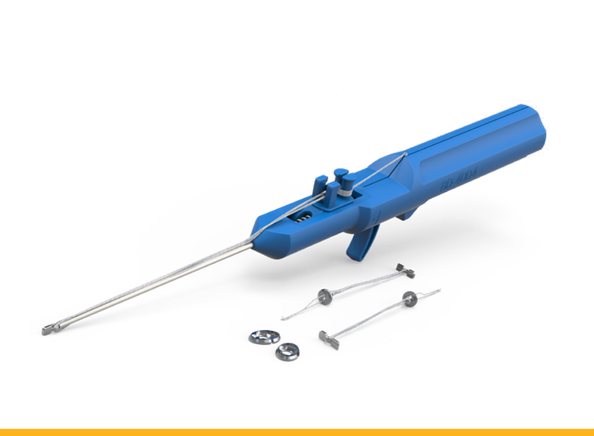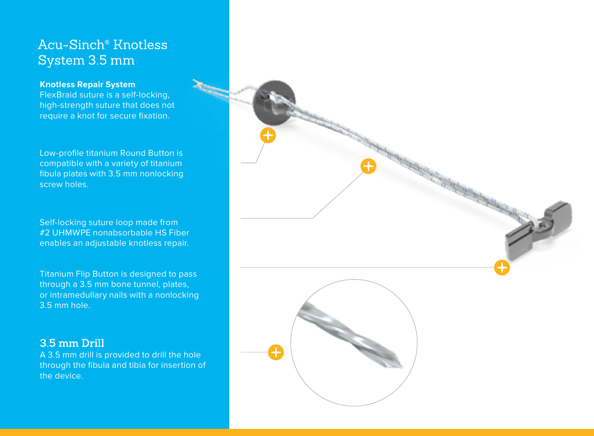# Acu-Sinch® Knotless System 3.5 mm

#### **Knotless Repair System**

FlexBraid suture is a self-locking, high-strength suture that does not require a knot for secure fixation.

Low-profile titanium Round Button is compatible with a variety of titanium fibula plates with 3.5 mm nonlocking screw holes.

Self-locking suture loop made from #2 UHMWPE nonabsorbable HS Fiber enables an adjustable knotless repair.

Titanium Flip Button is designed to pass through a 3.5 mm bone tunnel, plates, or intramedullary nails with a nonlocking 3.5 mm hole.

#### **3.5 mm Drill**

A 3.5 mm drill is provided to drill the hole through the fibula and tibia for insertion of the device.

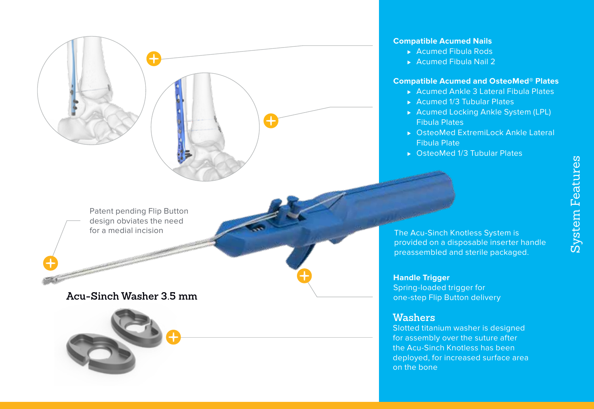

#### **Compatible Acumed Nails**

- ► Acumed Fibula Rods
- ► Acumed Fibula Nail 2

#### **Compatible Acumed and OsteoMed® Plates**

- ⊲ Acumed Ankle 3 Lateral Fibula Plates
- ► Acumed 1/3 Tubular Plates
- ► Acumed Locking Ankle System (LPL) Fibula Plates
- ⊲ OsteoMed ExtremiLock Ankle Lateral Fibula Plate
- ⊲ OsteoMed 1/3 Tubular Plates

The Acu-Sinch Knotless System is provided on a disposable inserter handle preassembled and sterile packaged.

#### **Handle Trigger**

Spring-loaded trigger for one-step Flip Button delivery

#### **Washers**

Slotted titanium washer is designed for assembly over the suture after the Acu-Sinch Knotless has been deployed, for increased surface area on the bone

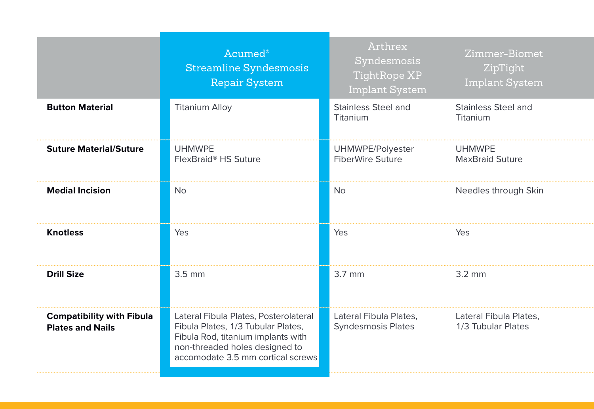|                                                             | Acumed <sup>®</sup><br>Streamline Syndesmosis<br><b>Repair System</b>                                                                                                                    | Arthrex<br>Syndesmosis<br>TightRope XP<br><b>Implant System</b> | Zimmer-Biomet<br>ZipTight<br><b>Implant System</b> |
|-------------------------------------------------------------|------------------------------------------------------------------------------------------------------------------------------------------------------------------------------------------|-----------------------------------------------------------------|----------------------------------------------------|
| <b>Button Material</b>                                      | <b>Titanium Alloy</b>                                                                                                                                                                    | Stainless Steel and<br>Titanium                                 | <b>Stainless Steel and</b><br>Titanium             |
| <b>Suture Material/Suture</b>                               | <b>UHMWPE</b><br>FlexBraid <sup>®</sup> HS Suture                                                                                                                                        | UHMWPE/Polyester<br><b>FiberWire Suture</b>                     | <b>UHMWPE</b><br><b>MaxBraid Suture</b>            |
| <b>Medial Incision</b>                                      | No.                                                                                                                                                                                      | <b>No</b>                                                       | Needles through Skin                               |
| <b>Knotless</b>                                             | Yes                                                                                                                                                                                      | Yes                                                             | Yes                                                |
| <b>Drill Size</b>                                           | $3.5 \text{ mm}$                                                                                                                                                                         | 3.7 mm                                                          | $3.2 \text{ mm}$                                   |
| <b>Compatibility with Fibula</b><br><b>Plates and Nails</b> | Lateral Fibula Plates, Posterolateral<br>Fibula Plates, 1/3 Tubular Plates,<br>Fibula Rod, titanium implants with<br>non-threaded holes designed to<br>accomodate 3.5 mm cortical screws | Lateral Fibula Plates,<br><b>Syndesmosis Plates</b>             | Lateral Fibula Plates,<br>1/3 Tubular Plates       |
|                                                             |                                                                                                                                                                                          |                                                                 |                                                    |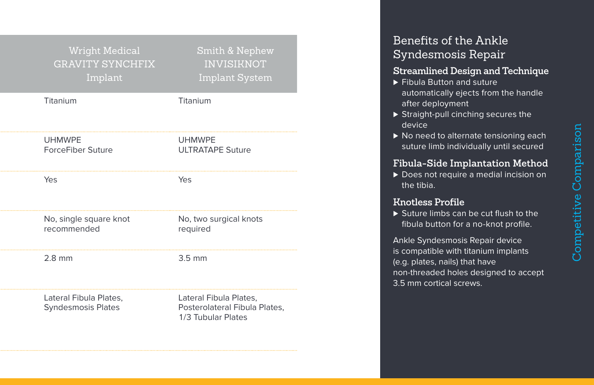|          | <b>Wright Medical</b><br><b>GRAVITY SYNCHFIX</b><br>Implant | <b>Smith &amp; Nephew</b><br><b>INVISIKNOT</b><br><b>Implant System</b>       |
|----------|-------------------------------------------------------------|-------------------------------------------------------------------------------|
| Titanium |                                                             | Titanium                                                                      |
|          | <b>UHMWPE</b><br>ForceFiber Suture                          | <b>UHMWPE</b><br><b>ULTRATAPE Suture</b>                                      |
| Yes      |                                                             | Yes                                                                           |
|          | No, single square knot<br>recommended                       | No, two surgical knots<br>required                                            |
| $2.8$ mm |                                                             | $3.5 \text{ mm}$                                                              |
|          | Lateral Fibula Plates,<br>Syndesmosis Plates                | Lateral Fibula Plates,<br>Posterolateral Fibula Plates,<br>1/3 Tubular Plates |

# Benefits of the Ankle Syndesmosis Repair

## **Streamlined Design and Technique**

- ▶ Fibula Button and suture automatically ejects from the handle after deployment
- ▶ Straight-pull cinching secures the device
- ▶ No need to alternate tensioning each suture limb individually until secured

# **Fibula-Side Implantation Method**

▶ Does not require a medial incision on the tibia.

## **Knotless Profile**

► Suture limbs can be cut flush to the fibula button for a no-knot profile.

Ankle Syndesmosis Repair device is compatible with titanium implants (e.g. plates, nails) that have non-threaded holes designed to accept 3.5 mm cortical screws.